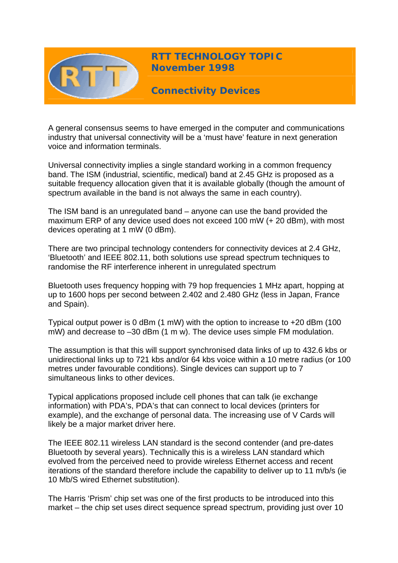

**RTT TECHNOLOGY TOPIC November 1998** 

**Connectivity Devices** 

A general consensus seems to have emerged in the computer and communications industry that universal connectivity will be a 'must have' feature in next generation voice and information terminals.

Universal connectivity implies a single standard working in a common frequency band. The ISM (industrial, scientific, medical) band at 2.45 GHz is proposed as a suitable frequency allocation given that it is available globally (though the amount of spectrum available in the band is not always the same in each country).

The ISM band is an unregulated band – anyone can use the band provided the maximum ERP of any device used does not exceed 100 mW (+ 20 dBm), with most devices operating at 1 mW (0 dBm).

There are two principal technology contenders for connectivity devices at 2.4 GHz, 'Bluetooth' and IEEE 802.11, both solutions use spread spectrum techniques to randomise the RF interference inherent in unregulated spectrum

Bluetooth uses frequency hopping with 79 hop frequencies 1 MHz apart, hopping at up to 1600 hops per second between 2.402 and 2.480 GHz (less in Japan, France and Spain).

Typical output power is 0 dBm (1 mW) with the option to increase to +20 dBm (100 mW) and decrease to –30 dBm (1 m w). The device uses simple FM modulation.

The assumption is that this will support synchronised data links of up to 432.6 kbs or unidirectional links up to 721 kbs and/or 64 kbs voice within a 10 metre radius (or 100 metres under favourable conditions). Single devices can support up to 7 simultaneous links to other devices.

Typical applications proposed include cell phones that can talk (ie exchange information) with PDA's, PDA's that can connect to local devices (printers for example), and the exchange of personal data. The increasing use of V Cards will likely be a major market driver here.

The IEEE 802.11 wireless LAN standard is the second contender (and pre-dates Bluetooth by several years). Technically this is a wireless LAN standard which evolved from the perceived need to provide wireless Ethernet access and recent iterations of the standard therefore include the capability to deliver up to 11 m/b/s (ie 10 Mb/S wired Ethernet substitution).

The Harris 'Prism' chip set was one of the first products to be introduced into this market – the chip set uses direct sequence spread spectrum, providing just over 10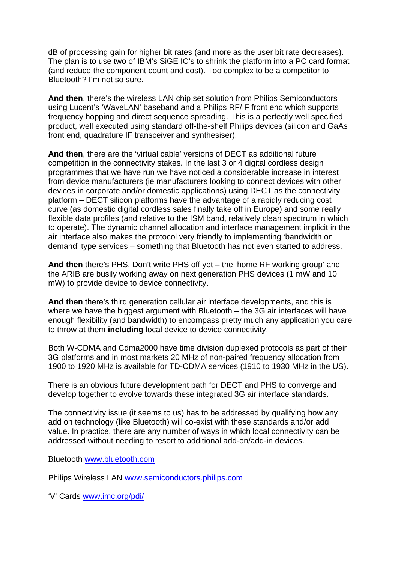dB of processing gain for higher bit rates (and more as the user bit rate decreases). The plan is to use two of IBM's SiGE IC's to shrink the platform into a PC card format (and reduce the component count and cost). Too complex to be a competitor to Bluetooth? I'm not so sure.

**And then**, there's the wireless LAN chip set solution from Philips Semiconductors using Lucent's 'WaveLAN' baseband and a Philips RF/IF front end which supports frequency hopping and direct sequence spreading. This is a perfectly well specified product, well executed using standard off-the-shelf Philips devices (silicon and GaAs front end, quadrature IF transceiver and synthesiser).

**And then**, there are the 'virtual cable' versions of DECT as additional future competition in the connectivity stakes. In the last 3 or 4 digital cordless design programmes that we have run we have noticed a considerable increase in interest from device manufacturers (ie manufacturers looking to connect devices with other devices in corporate and/or domestic applications) using DECT as the connectivity platform – DECT silicon platforms have the advantage of a rapidly reducing cost curve (as domestic digital cordless sales finally take off in Europe) and some really flexible data profiles (and relative to the ISM band, relatively clean spectrum in which to operate). The dynamic channel allocation and interface management implicit in the air interface also makes the protocol very friendly to implementing 'bandwidth on demand' type services – something that Bluetooth has not even started to address.

**And then** there's PHS. Don't write PHS off yet – the 'home RF working group' and the ARIB are busily working away on next generation PHS devices (1 mW and 10 mW) to provide device to device connectivity.

**And then** there's third generation cellular air interface developments, and this is where we have the biggest argument with Bluetooth – the 3G air interfaces will have enough flexibility (and bandwidth) to encompass pretty much any application you care to throw at them **including** local device to device connectivity.

Both W-CDMA and Cdma2000 have time division duplexed protocols as part of their 3G platforms and in most markets 20 MHz of non-paired frequency allocation from 1900 to 1920 MHz is available for TD-CDMA services (1910 to 1930 MHz in the US).

There is an obvious future development path for DECT and PHS to converge and develop together to evolve towards these integrated 3G air interface standards.

The connectivity issue (it seems to us) has to be addressed by qualifying how any add on technology (like Bluetooth) will co-exist with these standards and/or add value. In practice, there are any number of ways in which local connectivity can be addressed without needing to resort to additional add-on/add-in devices.

Bluetooth [www.bluetooth.com](http://www.bluetooth.com/)

Philips Wireless LAN [www.semiconductors.philips.com](http://www.semiconductors.philips.com/)

'V' Cards [www.imc.org/pdi/](http://www.imc.org/pdi/)